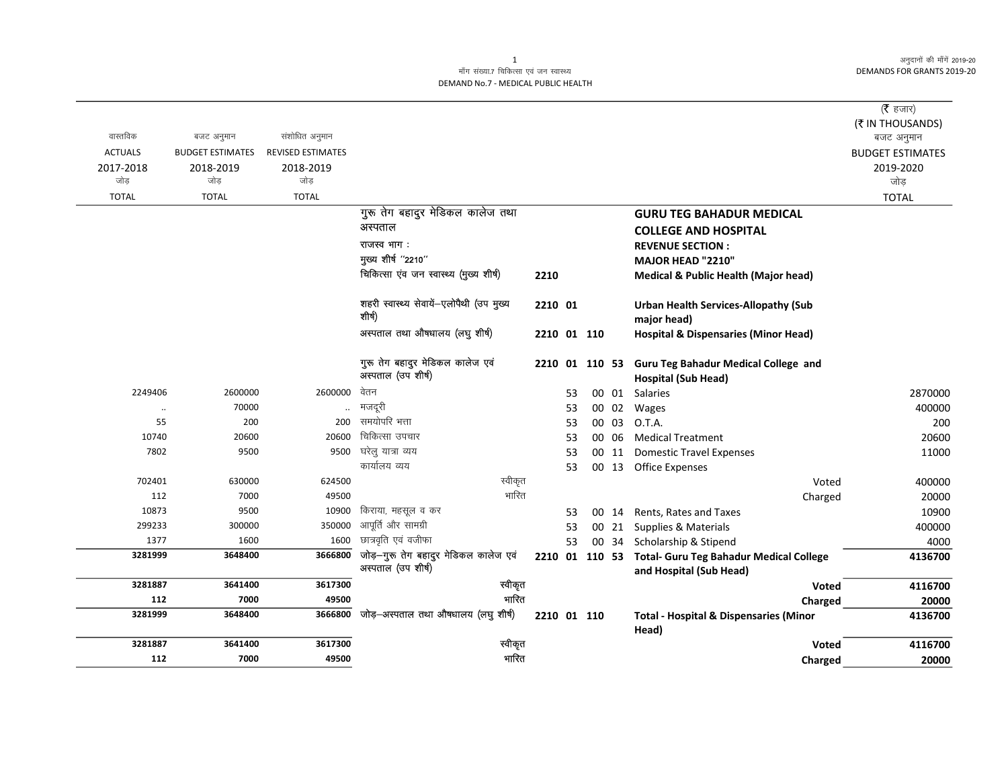अनुदानों की माँगें 2019-20 DEMANDS FOR GRANTS 2019-20

## माँग संख्या.7 चिकित्सा एवं जन स्वास्थ्य DEMAND No.7 - MEDICAL PUBLIC HEALTH

|                  |                         |                          |                                                             |                |          |             |                |                                                                                   | ( $\bar{\tau}$ हजार)    |
|------------------|-------------------------|--------------------------|-------------------------------------------------------------|----------------|----------|-------------|----------------|-----------------------------------------------------------------------------------|-------------------------|
|                  |                         |                          |                                                             |                |          |             |                |                                                                                   | (₹ IN THOUSANDS)        |
| वास्तविक         | बजट अनुमान              | संशोधित अनुमान           |                                                             |                |          |             |                |                                                                                   | बजट अनुमान              |
| <b>ACTUALS</b>   | <b>BUDGET ESTIMATES</b> | <b>REVISED ESTIMATES</b> |                                                             |                |          |             |                |                                                                                   | <b>BUDGET ESTIMATES</b> |
| 2017-2018<br>जोड | 2018-2019<br>जोड        | 2018-2019<br>जोड़        |                                                             |                |          |             |                |                                                                                   | 2019-2020               |
|                  |                         |                          |                                                             |                |          |             |                |                                                                                   | जोड़                    |
| <b>TOTAL</b>     | <b>TOTAL</b>            | <b>TOTAL</b>             |                                                             |                |          |             |                |                                                                                   | <b>TOTAL</b>            |
|                  |                         |                          | गुरू तेग बहादुर मेडिकल कालेज तथा                            |                |          |             |                | <b>GURU TEG BAHADUR MEDICAL</b>                                                   |                         |
|                  |                         |                          | अस्पताल                                                     |                |          |             |                | <b>COLLEGE AND HOSPITAL</b>                                                       |                         |
|                  |                         |                          | राजस्व भाग:                                                 |                |          |             |                | <b>REVENUE SECTION:</b>                                                           |                         |
|                  |                         |                          | मुख्य शीर्ष "2210"                                          |                |          |             |                | MAJOR HEAD "2210"                                                                 |                         |
|                  |                         |                          | चिकित्सा एंव जन स्वास्थ्य (मुख्य शीर्ष)                     | 2210           |          |             |                | <b>Medical &amp; Public Health (Major head)</b>                                   |                         |
|                  |                         |                          | शहरी स्वास्थ्य सेवायें-एलोपैथी (उप मुख्य<br>शीर्ष)          | 2210 01        |          |             |                | <b>Urban Health Services-Allopathy (Sub</b><br>major head)                        |                         |
|                  |                         |                          | अस्पताल तथा औषधालय (लघु शीर्ष)                              |                |          | 2210 01 110 |                | <b>Hospital &amp; Dispensaries (Minor Head)</b>                                   |                         |
|                  |                         |                          | गुरू तेग बहादुर मेडिकल कालेज एवं<br>अस्पताल (उप शीर्ष)      | 2210 01 110 53 |          |             |                | <b>Guru Teg Bahadur Medical College and</b>                                       |                         |
| 2249406          | 2600000                 | 2600000                  | वेतन                                                        |                |          |             |                | <b>Hospital (Sub Head)</b>                                                        |                         |
|                  | 70000                   |                          | मजदूरी                                                      |                | 53       |             | 00 01          | Salaries                                                                          | 2870000<br>400000       |
| $\ddotsc$<br>55  | 200                     | 200                      | समयोपरि भत्ता                                               |                | 53<br>53 |             | 00 02<br>00 03 | Wages<br>O.T.A.                                                                   | 200                     |
| 10740            | 20600                   | 20600                    | चिकित्सा उपचार                                              |                | 53       |             | 00 06          | <b>Medical Treatment</b>                                                          | 20600                   |
| 7802             | 9500                    | 9500                     | घरेलु यात्रा व्यय                                           |                | 53       |             | 00 11          | <b>Domestic Travel Expenses</b>                                                   | 11000                   |
|                  |                         |                          | कार्यालय व्यय                                               |                | 53       |             |                | 00 13 Office Expenses                                                             |                         |
| 702401           | 630000                  | 624500                   | स्वीकृत                                                     |                |          |             |                | Voted                                                                             | 400000                  |
| 112              | 7000                    | 49500                    | भारित                                                       |                |          |             |                | Charged                                                                           | 20000                   |
| 10873            | 9500                    | 10900                    | किराया, महसूल व कर                                          |                | 53       |             | 00 14          | Rents, Rates and Taxes                                                            | 10900                   |
| 299233           | 300000                  | 350000                   | आपूर्ति और सामग्री                                          |                | 53       |             | 00 21          | Supplies & Materials                                                              | 400000                  |
| 1377             | 1600                    | 1600                     | छात्रवृति एवं वजीफा                                         |                | 53       |             | 00 34          | Scholarship & Stipend                                                             | 4000                    |
| 3281999          | 3648400                 | 3666800                  | जोड़-गुरू तेग बहादुर मेडिकल कालेज एवं<br>अस्पताल (उप शीर्ष) |                |          |             |                | 2210 01 110 53 Total- Guru Teg Bahadur Medical College<br>and Hospital (Sub Head) | 4136700                 |
| 3281887          | 3641400                 | 3617300                  | स्वीकृत                                                     |                |          |             |                | <b>Voted</b>                                                                      | 4116700                 |
| 112              | 7000                    | 49500                    | भारित                                                       |                |          |             |                | Charged                                                                           | 20000                   |
| 3281999          | 3648400                 | 3666800                  | जोड़-अस्पताल तथा औषधालय (लघु शीर्ष)                         | 2210 01 110    |          |             |                | <b>Total - Hospital &amp; Dispensaries (Minor</b><br>Head)                        | 4136700                 |
| 3281887          | 3641400                 | 3617300                  | स्वीकृत                                                     |                |          |             |                | <b>Voted</b>                                                                      | 4116700                 |
| 112              | 7000                    | 49500                    | भारित                                                       |                |          |             |                | Charged                                                                           | 20000                   |

1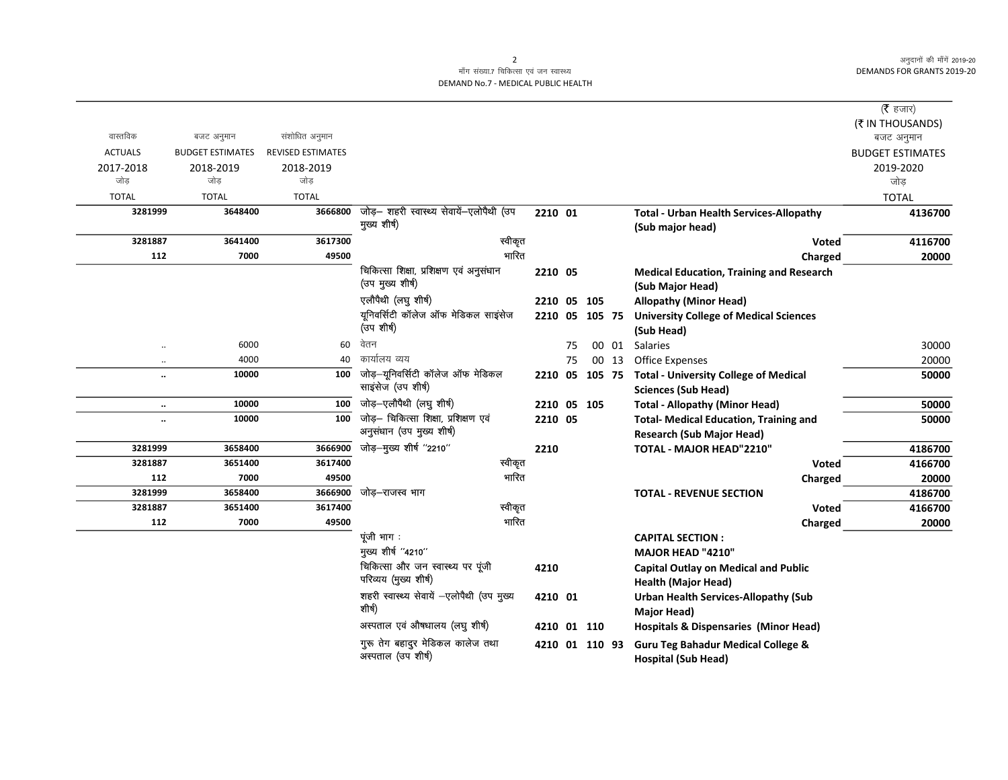अनुदानों की माँगें 2019-20 **DEMANDS FOR GRANTS 2019-20** 

 $\overline{\phantom{0}}$ 

## माँग संख्या.7 चिकित्सा एवं जन स्वास्थ्य DEMAND No.7 - MEDICAL PUBLIC HEALTH

|                      |                         |                          |                                                             |             |    |                |       |                                                                                   | ( $\bar{\tau}$ हजार)<br>(₹ IN THOUSANDS) |
|----------------------|-------------------------|--------------------------|-------------------------------------------------------------|-------------|----|----------------|-------|-----------------------------------------------------------------------------------|------------------------------------------|
| वास्तविक             | बजट अनुमान              | संशोधित अनुमान           |                                                             |             |    |                |       |                                                                                   | बजट अनुमान                               |
| <b>ACTUALS</b>       | <b>BUDGET ESTIMATES</b> | <b>REVISED ESTIMATES</b> |                                                             |             |    |                |       |                                                                                   | <b>BUDGET ESTIMATES</b>                  |
| 2017-2018            | 2018-2019               | 2018-2019                |                                                             |             |    |                |       |                                                                                   | 2019-2020                                |
| जोड                  | जोड                     | जोड़                     |                                                             |             |    |                |       |                                                                                   | जोड                                      |
| <b>TOTAL</b>         | <b>TOTAL</b>            | <b>TOTAL</b>             |                                                             |             |    |                |       |                                                                                   | <b>TOTAL</b>                             |
| 3281999              | 3648400                 | 3666800                  | जोड़- शहरी स्वास्थ्य सेवायें-एलोपैथी (उप                    | 2210 01     |    |                |       | <b>Total - Urban Health Services-Allopathy</b>                                    | 4136700                                  |
|                      |                         |                          | मुख्य शीर्ष)                                                |             |    |                |       | (Sub major head)                                                                  |                                          |
| 3281887              | 3641400                 | 3617300                  | स्वीकृत                                                     |             |    |                |       | <b>Voted</b>                                                                      | 4116700                                  |
| 112                  | 7000                    | 49500                    | भारित                                                       |             |    |                |       | Charged                                                                           | 20000                                    |
|                      |                         |                          | चिकित्सा शिक्षा, प्रशिक्षण एवं अनुसंधान<br>(उप मुख्य शीर्ष) | 2210 05     |    |                |       | <b>Medical Education, Training and Research</b><br>(Sub Major Head)               |                                          |
|                      |                         |                          | एलौपैथी (लघु शीर्ष)                                         | 2210 05 105 |    |                |       | <b>Allopathy (Minor Head)</b>                                                     |                                          |
|                      |                         |                          | यूनिवर्सिटी कॉलेज ऑफ मेडिकल साइंसेज                         |             |    | 2210 05 105 75 |       | <b>University College of Medical Sciences</b>                                     |                                          |
|                      |                         |                          | (उप शीर्ष)                                                  |             |    |                |       | (Sub Head)                                                                        |                                          |
| $\ldots$             | 6000                    | 60                       | वेतन                                                        |             | 75 |                | 00 01 | Salaries                                                                          | 30000                                    |
| $\ldots$             | 4000                    | 40                       | कार्यालय व्यय                                               |             | 75 |                | 00 13 | Office Expenses                                                                   | 20000                                    |
| $\ddot{\phantom{0}}$ | 10000                   | 100                      | जोड़—यूनिवर्सिटी कॉलेज ऑफ मेडिकल<br>साइसेज (उप शीर्ष)       | 2210 05     |    | 105 75         |       | <b>Total - University College of Medical</b>                                      | 50000                                    |
|                      | 10000                   | 100                      | जोड़-एलौपैथी (लघु शीर्ष)                                    |             |    |                |       | <b>Sciences (Sub Head)</b>                                                        |                                          |
| $\ldots$             |                         | 100                      | जोड़- चिकित्सा शिक्षा, प्रशिक्षण एवं                        | 2210 05 105 |    |                |       | <b>Total - Allopathy (Minor Head)</b>                                             | 50000                                    |
| $\ddot{\phantom{0}}$ | 10000                   |                          | अनुसंधान (उप मुख्य शीर्ष)                                   | 2210 05     |    |                |       | <b>Total- Medical Education, Training and</b><br><b>Research (Sub Major Head)</b> | 50000                                    |
| 3281999              | 3658400                 | 3666900                  | जोड़-मुख्य शीर्ष "2210"                                     | 2210        |    |                |       | TOTAL - MAJOR HEAD"2210"                                                          | 4186700                                  |
| 3281887              | 3651400                 | 3617400                  | स्वीकृत                                                     |             |    |                |       | <b>Voted</b>                                                                      | 4166700                                  |
| 112                  | 7000                    | 49500                    | भारित                                                       |             |    |                |       | Charged                                                                           | 20000                                    |
| 3281999              | 3658400                 | 3666900                  | जोड–राजस्व भाग                                              |             |    |                |       | <b>TOTAL - REVENUE SECTION</b>                                                    | 4186700                                  |
| 3281887              | 3651400                 | 3617400                  | स्वीकृत                                                     |             |    |                |       | <b>Voted</b>                                                                      | 4166700                                  |
| 112                  | 7000                    | 49500                    | भारित                                                       |             |    |                |       | Charged                                                                           | 20000                                    |
|                      |                         |                          | पूंजी भाग:                                                  |             |    |                |       | <b>CAPITAL SECTION:</b>                                                           |                                          |
|                      |                         |                          | मुख्य शीर्ष "4210"                                          |             |    |                |       | <b>MAJOR HEAD "4210"</b>                                                          |                                          |
|                      |                         |                          | चिकित्सा और जन स्वास्थ्य पर पूंजी                           | 4210        |    |                |       | <b>Capital Outlay on Medical and Public</b>                                       |                                          |
|                      |                         |                          | परिव्यय (मुख्य शीर्ष)                                       |             |    |                |       | <b>Health (Major Head)</b>                                                        |                                          |
|                      |                         |                          | शहरी स्वास्थ्य सेवायें -एलोपैथी (उप मुख्य<br>शीर्ष)         | 4210 01     |    |                |       | <b>Urban Health Services-Allopathy (Sub</b><br>Major Head)                        |                                          |
|                      |                         |                          | अस्पताल एवं औषधालय (लघु शीर्ष)                              | 4210 01 110 |    |                |       | <b>Hospitals &amp; Dispensaries (Minor Head)</b>                                  |                                          |
|                      |                         |                          | गुरू तेग बहादुर मेडिकल कालेज तथा<br>अस्पताल (उप शीर्ष)      |             |    | 4210 01 110 93 |       | <b>Guru Teg Bahadur Medical College &amp;</b><br><b>Hospital (Sub Head)</b>       |                                          |

 $\overline{2}$